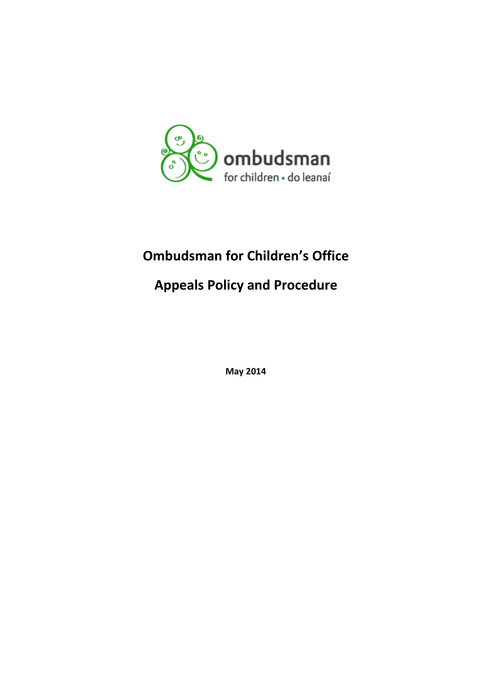

# **Ombudsman for Children's Office**

## **Appeals Policy and Procedure**

**May 2014**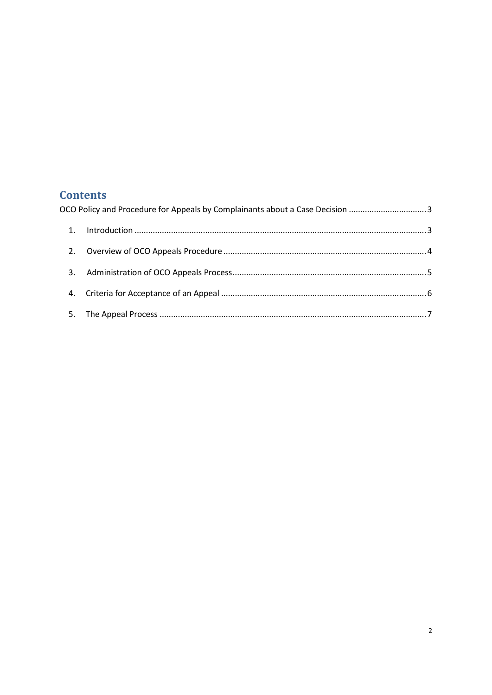### **Contents**

| OCO Policy and Procedure for Appeals by Complainants about a Case Decision 3 |  |  |
|------------------------------------------------------------------------------|--|--|
| 1.                                                                           |  |  |
| 2.                                                                           |  |  |
|                                                                              |  |  |
|                                                                              |  |  |
| 5.                                                                           |  |  |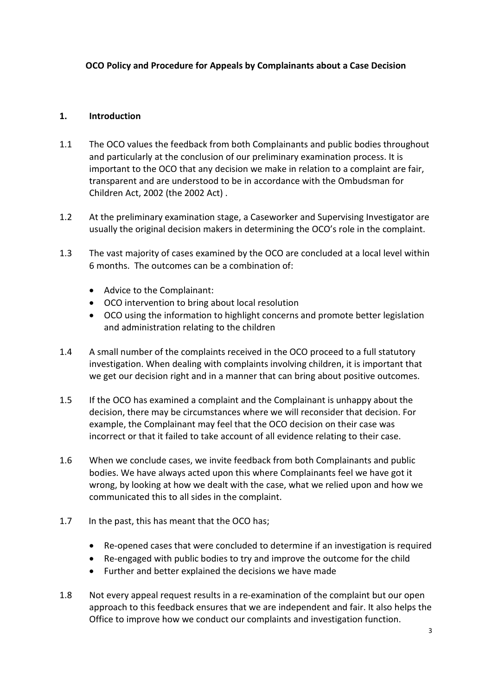#### <span id="page-2-0"></span>**OCO Policy and Procedure for Appeals by Complainants about a Case Decision**

#### <span id="page-2-1"></span>**1. Introduction**

- 1.1 The OCO values the feedback from both Complainants and public bodies throughout and particularly at the conclusion of our preliminary examination process. It is important to the OCO that any decision we make in relation to a complaint are fair, transparent and are understood to be in accordance with the Ombudsman for Children Act, 2002 (the 2002 Act) .
- 1.2 At the preliminary examination stage, a Caseworker and Supervising Investigator are usually the original decision makers in determining the OCO's role in the complaint.
- 1.3 The vast majority of cases examined by the OCO are concluded at a local level within 6 months. The outcomes can be a combination of:
	- Advice to the Complainant:
	- OCO intervention to bring about local resolution
	- OCO using the information to highlight concerns and promote better legislation and administration relating to the children
- 1.4 A small number of the complaints received in the OCO proceed to a full statutory investigation. When dealing with complaints involving children, it is important that we get our decision right and in a manner that can bring about positive outcomes.
- 1.5 If the OCO has examined a complaint and the Complainant is unhappy about the decision, there may be circumstances where we will reconsider that decision. For example, the Complainant may feel that the OCO decision on their case was incorrect or that it failed to take account of all evidence relating to their case.
- 1.6 When we conclude cases, we invite feedback from both Complainants and public bodies. We have always acted upon this where Complainants feel we have got it wrong, by looking at how we dealt with the case, what we relied upon and how we communicated this to all sides in the complaint.
- 1.7 In the past, this has meant that the OCO has;
	- Re-opened cases that were concluded to determine if an investigation is required
	- Re-engaged with public bodies to try and improve the outcome for the child
	- Further and better explained the decisions we have made
- 1.8 Not every appeal request results in a re-examination of the complaint but our open approach to this feedback ensures that we are independent and fair. It also helps the Office to improve how we conduct our complaints and investigation function.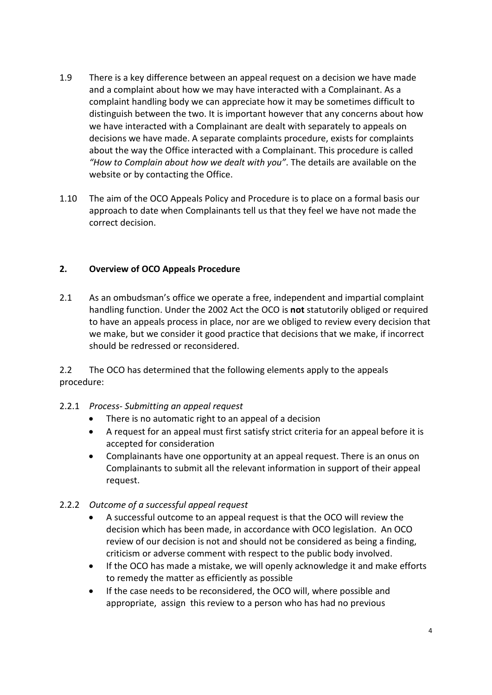- 1.9 There is a key difference between an appeal request on a decision we have made and a complaint about how we may have interacted with a Complainant. As a complaint handling body we can appreciate how it may be sometimes difficult to distinguish between the two. It is important however that any concerns about how we have interacted with a Complainant are dealt with separately to appeals on decisions we have made. A separate complaints procedure, exists for complaints about the way the Office interacted with a Complainant. This procedure is called *"How to Complain about how we dealt with you"*. The details are available on the website or by contacting the Office.
- 1.10 The aim of the OCO Appeals Policy and Procedure is to place on a formal basis our approach to date when Complainants tell us that they feel we have not made the correct decision.

#### <span id="page-3-0"></span>**2. Overview of OCO Appeals Procedure**

2.1 As an ombudsman's office we operate a free, independent and impartial complaint handling function. Under the 2002 Act the OCO is **not** statutorily obliged or required to have an appeals process in place, nor are we obliged to review every decision that we make, but we consider it good practice that decisions that we make, if incorrect should be redressed or reconsidered.

2.2 The OCO has determined that the following elements apply to the appeals procedure:

- 2.2.1 *Process- Submitting an appeal request*
	- There is no automatic right to an appeal of a decision
	- A request for an appeal must first satisfy strict criteria for an appeal before it is accepted for consideration
	- Complainants have one opportunity at an appeal request. There is an onus on Complainants to submit all the relevant information in support of their appeal request.

#### 2.2.2 *Outcome of a successful appeal request*

- A successful outcome to an appeal request is that the OCO will review the decision which has been made, in accordance with OCO legislation. An OCO review of our decision is not and should not be considered as being a finding, criticism or adverse comment with respect to the public body involved.
- If the OCO has made a mistake, we will openly acknowledge it and make efforts to remedy the matter as efficiently as possible
- If the case needs to be reconsidered, the OCO will, where possible and appropriate, assign this review to a person who has had no previous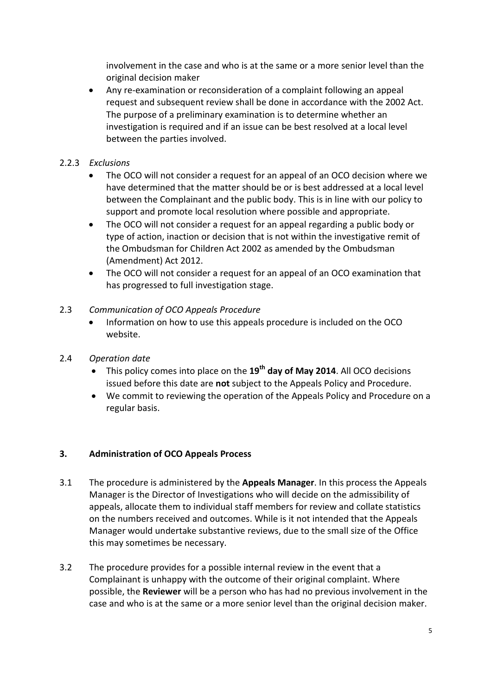involvement in the case and who is at the same or a more senior level than the original decision maker

• Any re-examination or reconsideration of a complaint following an appeal request and subsequent review shall be done in accordance with the 2002 Act. The purpose of a preliminary examination is to determine whether an investigation is required and if an issue can be best resolved at a local level between the parties involved.

#### 2.2.3 *Exclusions*

- The OCO will not consider a request for an appeal of an OCO decision where we have determined that the matter should be or is best addressed at a local level between the Complainant and the public body. This is in line with our policy to support and promote local resolution where possible and appropriate.
- The OCO will not consider a request for an appeal regarding a public body or type of action, inaction or decision that is not within the investigative remit of the Ombudsman for Children Act 2002 as amended by the Ombudsman (Amendment) Act 2012.
- The OCO will not consider a request for an appeal of an OCO examination that has progressed to full investigation stage.

#### 2.3 *Communication of OCO Appeals Procedure*

- Information on how to use this appeals procedure is included on the OCO website.
- 2.4 *Operation date* 
	- This policy comes into place on the **19th day of May 2014**. All OCO decisions issued before this date are **not** subject to the Appeals Policy and Procedure.
	- We commit to reviewing the operation of the Appeals Policy and Procedure on a regular basis.

#### <span id="page-4-0"></span>**3. Administration of OCO Appeals Process**

- 3.1 The procedure is administered by the **Appeals Manager**. In this process the Appeals Manager is the Director of Investigations who will decide on the admissibility of appeals, allocate them to individual staff members for review and collate statistics on the numbers received and outcomes. While is it not intended that the Appeals Manager would undertake substantive reviews, due to the small size of the Office this may sometimes be necessary.
- 3.2 The procedure provides for a possible internal review in the event that a Complainant is unhappy with the outcome of their original complaint. Where possible, the **Reviewer** will be a person who has had no previous involvement in the case and who is at the same or a more senior level than the original decision maker.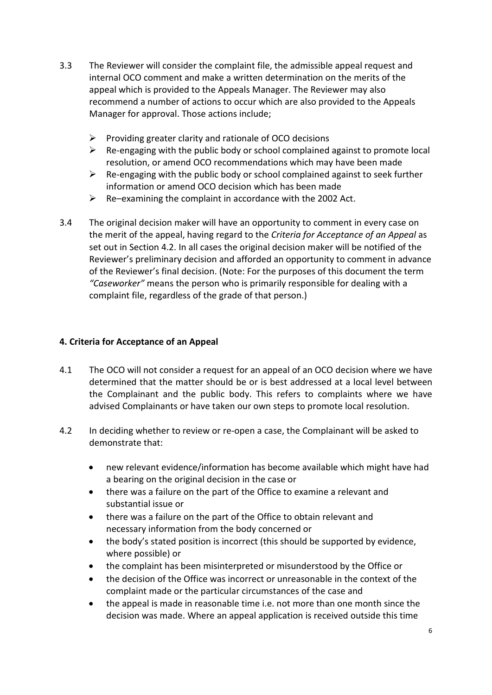- 3.3 The Reviewer will consider the complaint file, the admissible appeal request and internal OCO comment and make a written determination on the merits of the appeal which is provided to the Appeals Manager. The Reviewer may also recommend a number of actions to occur which are also provided to the Appeals Manager for approval. Those actions include;
	- $\triangleright$  Providing greater clarity and rationale of OCO decisions
	- $\triangleright$  Re-engaging with the public body or school complained against to promote local resolution, or amend OCO recommendations which may have been made
	- $\triangleright$  Re-engaging with the public body or school complained against to seek further information or amend OCO decision which has been made
	- $\triangleright$  Re–examining the complaint in accordance with the 2002 Act.
- 3.4 The original decision maker will have an opportunity to comment in every case on the merit of the appeal, having regard to the *Criteria for Acceptance of an Appeal* as set out in Section 4.2. In all cases the original decision maker will be notified of the Reviewer's preliminary decision and afforded an opportunity to comment in advance of the Reviewer's final decision. (Note: For the purposes of this document the term *"Caseworker"* means the person who is primarily responsible for dealing with a complaint file, regardless of the grade of that person.)

#### <span id="page-5-0"></span>**4. Criteria for Acceptance of an Appeal**

- 4.1 The OCO will not consider a request for an appeal of an OCO decision where we have determined that the matter should be or is best addressed at a local level between the Complainant and the public body. This refers to complaints where we have advised Complainants or have taken our own steps to promote local resolution.
- 4.2 In deciding whether to review or re-open a case, the Complainant will be asked to demonstrate that:
	- new relevant evidence/information has become available which might have had a bearing on the original decision in the case or
	- there was a failure on the part of the Office to examine a relevant and substantial issue or
	- there was a failure on the part of the Office to obtain relevant and necessary information from the body concerned or
	- the body's stated position is incorrect (this should be supported by evidence, where possible) or
	- the complaint has been misinterpreted or misunderstood by the Office or
	- the decision of the Office was incorrect or unreasonable in the context of the complaint made or the particular circumstances of the case and
	- the appeal is made in reasonable time i.e. not more than one month since the decision was made. Where an appeal application is received outside this time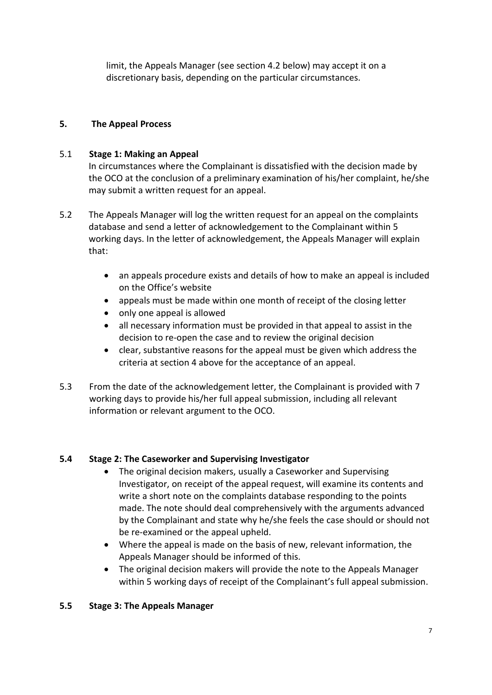limit, the Appeals Manager (see section 4.2 below) may accept it on a discretionary basis, depending on the particular circumstances.

#### <span id="page-6-0"></span>**5. The Appeal Process**

#### 5.1 **Stage 1: Making an Appeal**

In circumstances where the Complainant is dissatisfied with the decision made by the OCO at the conclusion of a preliminary examination of his/her complaint, he/she may submit a written request for an appeal.

- 5.2 The Appeals Manager will log the written request for an appeal on the complaints database and send a letter of acknowledgement to the Complainant within 5 working days. In the letter of acknowledgement, the Appeals Manager will explain that:
	- an appeals procedure exists and details of how to make an appeal is included on the Office's website
	- appeals must be made within one month of receipt of the closing letter
	- only one appeal is allowed
	- all necessary information must be provided in that appeal to assist in the decision to re-open the case and to review the original decision
	- clear, substantive reasons for the appeal must be given which address the criteria at section 4 above for the acceptance of an appeal.
- 5.3 From the date of the acknowledgement letter, the Complainant is provided with 7 working days to provide his/her full appeal submission, including all relevant information or relevant argument to the OCO.

#### **5.4 Stage 2: The Caseworker and Supervising Investigator**

- The original decision makers, usually a Caseworker and Supervising Investigator, on receipt of the appeal request, will examine its contents and write a short note on the complaints database responding to the points made. The note should deal comprehensively with the arguments advanced by the Complainant and state why he/she feels the case should or should not be re-examined or the appeal upheld.
- Where the appeal is made on the basis of new, relevant information, the Appeals Manager should be informed of this.
- The original decision makers will provide the note to the Appeals Manager within 5 working days of receipt of the Complainant's full appeal submission.

#### **5.5 Stage 3: The Appeals Manager**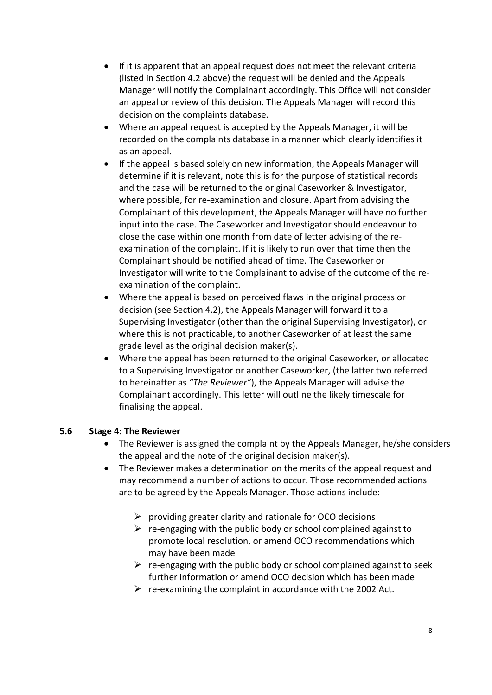- If it is apparent that an appeal request does not meet the relevant criteria (listed in Section 4.2 above) the request will be denied and the Appeals Manager will notify the Complainant accordingly. This Office will not consider an appeal or review of this decision. The Appeals Manager will record this decision on the complaints database.
- Where an appeal request is accepted by the Appeals Manager, it will be recorded on the complaints database in a manner which clearly identifies it as an appeal.
- If the appeal is based solely on new information, the Appeals Manager will determine if it is relevant, note this is for the purpose of statistical records and the case will be returned to the original Caseworker & Investigator, where possible, for re-examination and closure. Apart from advising the Complainant of this development, the Appeals Manager will have no further input into the case. The Caseworker and Investigator should endeavour to close the case within one month from date of letter advising of the reexamination of the complaint. If it is likely to run over that time then the Complainant should be notified ahead of time. The Caseworker or Investigator will write to the Complainant to advise of the outcome of the reexamination of the complaint.
- Where the appeal is based on perceived flaws in the original process or decision (see Section 4.2), the Appeals Manager will forward it to a Supervising Investigator (other than the original Supervising Investigator), or where this is not practicable, to another Caseworker of at least the same grade level as the original decision maker(s).
- Where the appeal has been returned to the original Caseworker, or allocated to a Supervising Investigator or another Caseworker, (the latter two referred to hereinafter as *"The Reviewer"*), the Appeals Manager will advise the Complainant accordingly. This letter will outline the likely timescale for finalising the appeal.

#### **5.6 Stage 4: The Reviewer**

- The Reviewer is assigned the complaint by the Appeals Manager, he/she considers the appeal and the note of the original decision maker(s).
- The Reviewer makes a determination on the merits of the appeal request and may recommend a number of actions to occur. Those recommended actions are to be agreed by the Appeals Manager. Those actions include:
	- $\triangleright$  providing greater clarity and rationale for OCO decisions
	- $\triangleright$  re-engaging with the public body or school complained against to promote local resolution, or amend OCO recommendations which may have been made
	- $\triangleright$  re-engaging with the public body or school complained against to seek further information or amend OCO decision which has been made
	- $\triangleright$  re-examining the complaint in accordance with the 2002 Act.